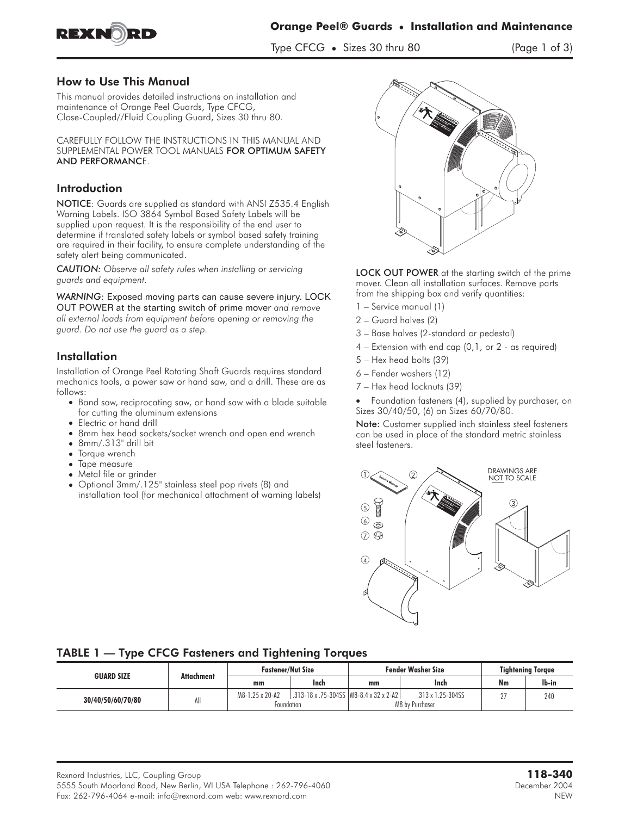

Type CFCG • Sizes 30 thru 80 (Page 1 of 3)

### How to Use This Manual

This manual provides detailed instructions on installation and maintenance of Orange Peel Guards, Type CFCG, Close-Coupled//Fluid Coupling Guard, Sizes 30 thru 80.

CAREFULLY FOLLOW THE INSTRUCTIONS IN THIS MANUAL AND SUPPLEMENTAL POWER TOOL MANUALS FOR OPTIMUM SAFETY AND PERFORMANCE.

# **Introduction**

NOTICE: Guards are supplied as standard with ANSI Z535.4 English Warning Labels. ISO 3864 Symbol Based Safety Labels will be supplied upon request. It is the responsibility of the end user to determine if translated safety labels or symbol based safety training are required in their facility, to ensure complete understanding of the safety alert being communicated.

*CAUTION: Observe all safety rules when installing or servicing guards and equipment.*

*WARNING: Exposed moving parts can cause severe injury. LOCK OUT POWER at the starting switch of prime mover and remove all external loads from equipment before opening or removing the guard. Do not use the guard as a step.*

# **Installation**

Installation of Orange Peel Rotating Shaft Guards requires standard mechanics tools, a power saw or hand saw, and a drill. These are as follows:

- Band saw, reciprocating saw, or hand saw with a blade suitable for cutting the aluminum extensions
- Electric or hand drill
- 8mm hex head sockets/socket wrench and open end wrench
- 8mm/.313" drill bit
- Torque wrench
- Tape measure
- Metal file or grinder
- Optional 3mm/.125" stainless steel pop rivets (8) and installation tool (for mechanical attachment of warning labels)



LOCK OUT POWER at the starting switch of the prime mover. Clean all installation surfaces. Remove parts from the shipping box and verify quantities:

- 1 Service manual (1)
- 2 Guard halves (2)
- 3 Base halves (2-standard or pedestal)
- $4$  Extension with end cap  $(0,1,$  or  $2$  as required)
- 5 Hex head bolts (39)
- 6 Fender washers (12)
- 7 Hex head locknuts (39)
- - Foundation fasteners (4), supplied by purchaser, on Sizes 30/40/50, (6) on Sizes 60/70/80.

Note: Customer supplied inch stainless steel fasteners can be used in place of the standard metric stainless steel fasteners.



## TABLE 1 — Type CFCG Fasteners and Tightening Torques

| <b>GUARD SIZE</b> | Attachment | <b>Fastener/Nut Size</b>      |                                          | <b>Fender Washer Size</b> |                                                | <b>Tightening Torque</b> |       |
|-------------------|------------|-------------------------------|------------------------------------------|---------------------------|------------------------------------------------|--------------------------|-------|
|                   |            | mm                            | Inch                                     | mm                        | Inch                                           | Nm                       | lb-in |
| 30/40/50/60/70/80 | All        | M8-1.25 x 20-A2<br>Foundation | .313-18 x .75-304SS   M8-8.4 x 32 x 2-A2 |                           | $.313 \times 1.25 - 304$ SS<br>M8 by Purchaser |                          | 240   |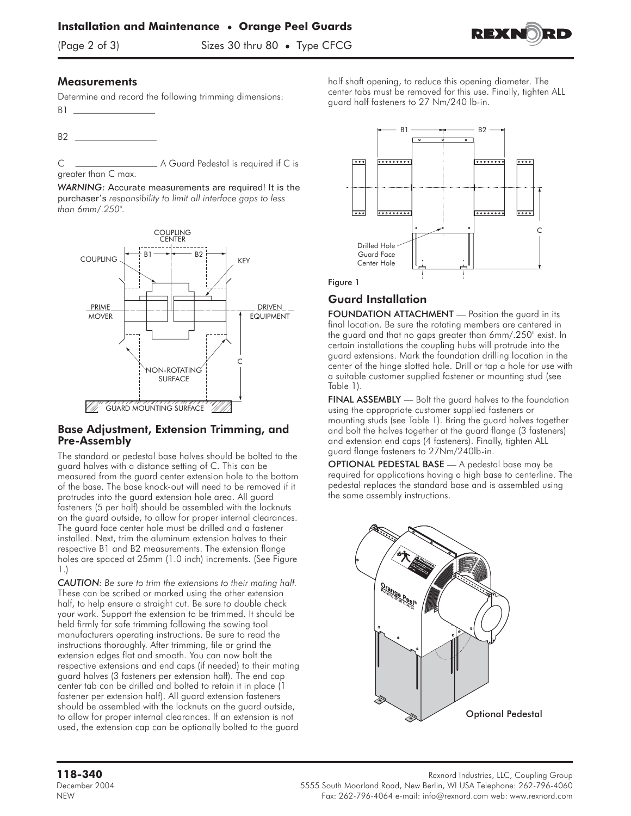

(Page 2 of 3) Sizes 30 thru 80 • Type CFCG

### **Measurements**

Determine and record the following trimming dimensions: B1

B<sub>2</sub>

C A Guard Pedestal is required if C is greater than C max.

*WARNING: Accurate measurements are required! It is the purchaser's responsibility to limit all interface gaps to less than 6mm/.250".*



### Base Adjustment, Extension Trimming, and Pre-Assembly

The standard or pedestal base halves should be bolted to the guard halves with a distance setting of C. This can be measured from the guard center extension hole to the bottom of the base. The base knock-out will need to be removed if it protrudes into the guard extension hole area. All guard fasteners (5 per half) should be assembled with the locknuts on the guard outside, to allow for proper internal clearances. The guard face center hole must be drilled and a fastener installed. Next, trim the aluminum extension halves to their respective B1 and B2 measurements. The extension flange holes are spaced at 25mm (1.0 inch) increments. (See Figure 1.)

*CAUTION: Be sure to trim the extensions to their mating half.* These can be scribed or marked using the other extension half, to help ensure a straight cut. Be sure to double check your work. Support the extension to be trimmed. It should be held firmly for safe trimming following the sawing tool manufacturers operating instructions. Be sure to read the instructions thoroughly. After trimming, file or grind the extension edges flat and smooth. You can now bolt the respective extensions and end caps (if needed) to their mating guard halves (3 fasteners per extension half). The end cap center tab can be drilled and bolted to retain it in place (1 fastener per extension half). All guard extension fasteners should be assembled with the locknuts on the guard outside, to allow for proper internal clearances. If an extension is not used, the extension cap can be optionally bolted to the guard



half shaft opening, to reduce this opening diameter. The center tabs must be removed for this use. Finally, tighten ALL

guard half fasteners to 27 Nm/240 lb-in.

#### Figure 1

## Guard Installation

FOUNDATION ATTACHMENT - Position the quard in its final location. Be sure the rotating members are centered in the guard and that no gaps greater than 6mm/.250" exist. In certain installations the coupling hubs will protrude into the guard extensions. Mark the foundation drilling location in the center of the hinge slotted hole. Drill or tap a hole for use with a suitable customer supplied fastener or mounting stud (see Table 1).

FINAL ASSEMBLY — Bolt the guard halves to the foundation using the appropriate customer supplied fasteners or mounting studs (see Table 1). Bring the guard halves together and bolt the halves together at the guard flange (3 fasteners) and extension end caps (4 fasteners). Finally, tighten ALL guard flange fasteners to 27Nm/240lb-in.

OPTIONAL PEDESTAL BASE — A pedestal base may be required for applications having a high base to centerline. The pedestal replaces the standard base and is assembled using the same assembly instructions.



**118-340** Rexnord Industries, LLC, Coupling Group

December 2004 5555 South Moorland Road, New Berlin, WI USA Telephone: 262-796-4060 NEW Fax: 262-796-4064 e-mail: info@rexnord.com web: www.rexnord.com